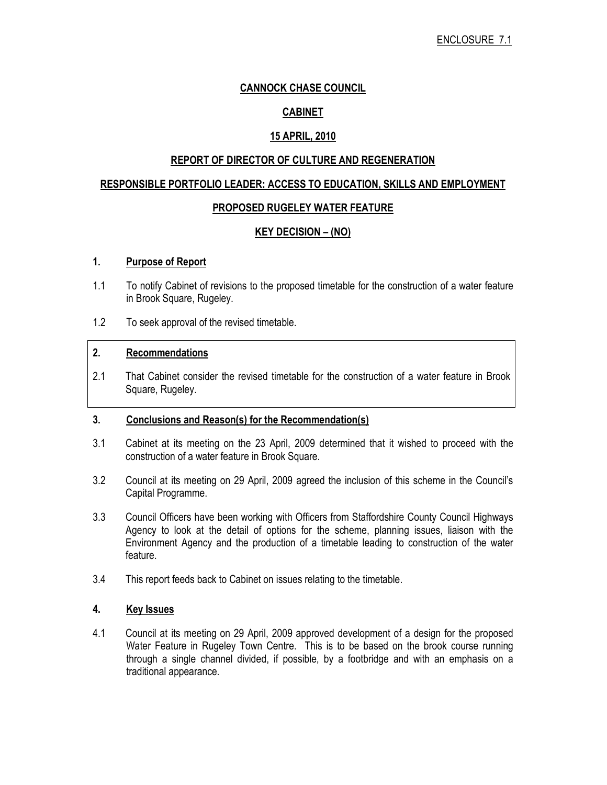### CANNOCK CHASE COUNCIL

# CABINET

# 15 APRIL, 2010

### REPORT OF DIRECTOR OF CULTURE AND REGENERATION

#### RESPONSIBLE PORTFOLIO LEADER: ACCESS TO EDUCATION, SKILLS AND EMPLOYMENT

### PROPOSED RUGELEY WATER FEATURE

# KEY DECISION – (NO)

### 1. Purpose of Report

- 1.1 To notify Cabinet of revisions to the proposed timetable for the construction of a water feature in Brook Square, Rugeley.
- 1.2 To seek approval of the revised timetable.

#### 2. Recommendations

2.1 That Cabinet consider the revised timetable for the construction of a water feature in Brook Square, Rugeley.

### 3. Conclusions and Reason(s) for the Recommendation(s)

- 3.1 Cabinet at its meeting on the 23 April, 2009 determined that it wished to proceed with the construction of a water feature in Brook Square.
- 3.2 Council at its meeting on 29 April, 2009 agreed the inclusion of this scheme in the Council's Capital Programme.
- 3.3 Council Officers have been working with Officers from Staffordshire County Council Highways Agency to look at the detail of options for the scheme, planning issues, liaison with the Environment Agency and the production of a timetable leading to construction of the water feature.
- 3.4 This report feeds back to Cabinet on issues relating to the timetable.

#### 4. Key Issues

4.1 Council at its meeting on 29 April, 2009 approved development of a design for the proposed Water Feature in Rugeley Town Centre. This is to be based on the brook course running through a single channel divided, if possible, by a footbridge and with an emphasis on a traditional appearance.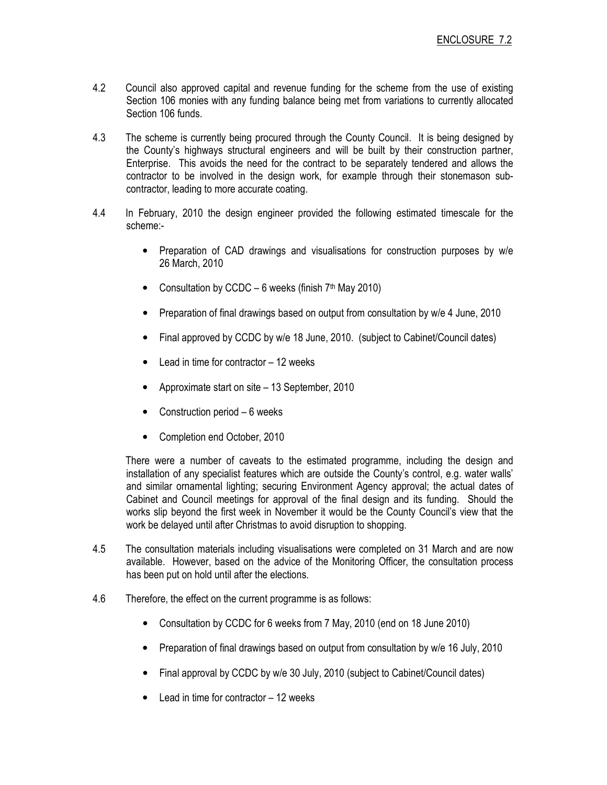- 4.2 Council also approved capital and revenue funding for the scheme from the use of existing Section 106 monies with any funding balance being met from variations to currently allocated Section 106 funds.
- 4.3 The scheme is currently being procured through the County Council. It is being designed by the County's highways structural engineers and will be built by their construction partner, Enterprise. This avoids the need for the contract to be separately tendered and allows the contractor to be involved in the design work, for example through their stonemason subcontractor, leading to more accurate coating.
- 4.4 In February, 2010 the design engineer provided the following estimated timescale for the scheme:-
	- Preparation of CAD drawings and visualisations for construction purposes by w/e 26 March, 2010
	- Consultation by CCDC 6 weeks (finish  $7<sup>th</sup>$  May 2010)
	- Preparation of final drawings based on output from consultation by w/e 4 June, 2010
	- Final approved by CCDC by w/e 18 June, 2010. (subject to Cabinet/Council dates)
	- Lead in time for contractor  $-12$  weeks
	- Approximate start on site 13 September, 2010
	- Construction period 6 weeks
	- Completion end October, 2010

 There were a number of caveats to the estimated programme, including the design and installation of any specialist features which are outside the County's control, e.g. water walls' and similar ornamental lighting; securing Environment Agency approval; the actual dates of Cabinet and Council meetings for approval of the final design and its funding. Should the works slip beyond the first week in November it would be the County Council's view that the work be delayed until after Christmas to avoid disruption to shopping.

- 4.5 The consultation materials including visualisations were completed on 31 March and are now available. However, based on the advice of the Monitoring Officer, the consultation process has been put on hold until after the elections.
- 4.6 Therefore, the effect on the current programme is as follows:
	- Consultation by CCDC for 6 weeks from 7 May, 2010 (end on 18 June 2010)
	- Preparation of final drawings based on output from consultation by w/e 16 July, 2010
	- Final approval by CCDC by w/e 30 July, 2010 (subject to Cabinet/Council dates)
	- Lead in time for contractor  $-12$  weeks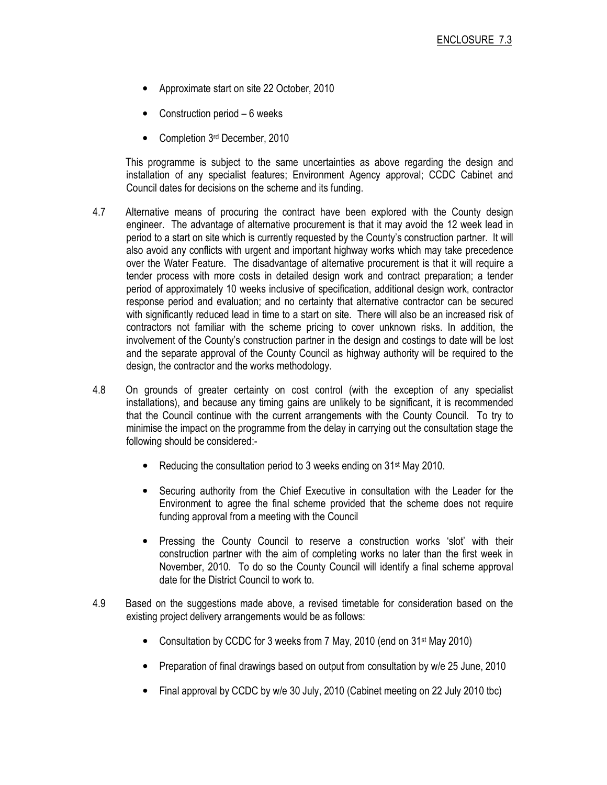- Approximate start on site 22 October, 2010
- Construction period  $-6$  weeks
- Completion 3rd December, 2010

 This programme is subject to the same uncertainties as above regarding the design and installation of any specialist features; Environment Agency approval; CCDC Cabinet and Council dates for decisions on the scheme and its funding.

- 4.7 Alternative means of procuring the contract have been explored with the County design engineer. The advantage of alternative procurement is that it may avoid the 12 week lead in period to a start on site which is currently requested by the County's construction partner. It will also avoid any conflicts with urgent and important highway works which may take precedence over the Water Feature. The disadvantage of alternative procurement is that it will require a tender process with more costs in detailed design work and contract preparation; a tender period of approximately 10 weeks inclusive of specification, additional design work, contractor response period and evaluation; and no certainty that alternative contractor can be secured with significantly reduced lead in time to a start on site. There will also be an increased risk of contractors not familiar with the scheme pricing to cover unknown risks. In addition, the involvement of the County's construction partner in the design and costings to date will be lost and the separate approval of the County Council as highway authority will be required to the design, the contractor and the works methodology.
- 4.8 On grounds of greater certainty on cost control (with the exception of any specialist installations), and because any timing gains are unlikely to be significant, it is recommended that the Council continue with the current arrangements with the County Council. To try to minimise the impact on the programme from the delay in carrying out the consultation stage the following should be considered:-
	- Reducing the consultation period to 3 weeks ending on 31<sup>st</sup> May 2010.
	- Securing authority from the Chief Executive in consultation with the Leader for the Environment to agree the final scheme provided that the scheme does not require funding approval from a meeting with the Council
	- Pressing the County Council to reserve a construction works 'slot' with their construction partner with the aim of completing works no later than the first week in November, 2010. To do so the County Council will identify a final scheme approval date for the District Council to work to.
- 4.9 Based on the suggestions made above, a revised timetable for consideration based on the existing project delivery arrangements would be as follows:
	- Consultation by CCDC for 3 weeks from 7 May, 2010 (end on 31<sup>st</sup> May 2010)
	- Preparation of final drawings based on output from consultation by w/e 25 June, 2010
	- Final approval by CCDC by w/e 30 July, 2010 (Cabinet meeting on 22 July 2010 tbc)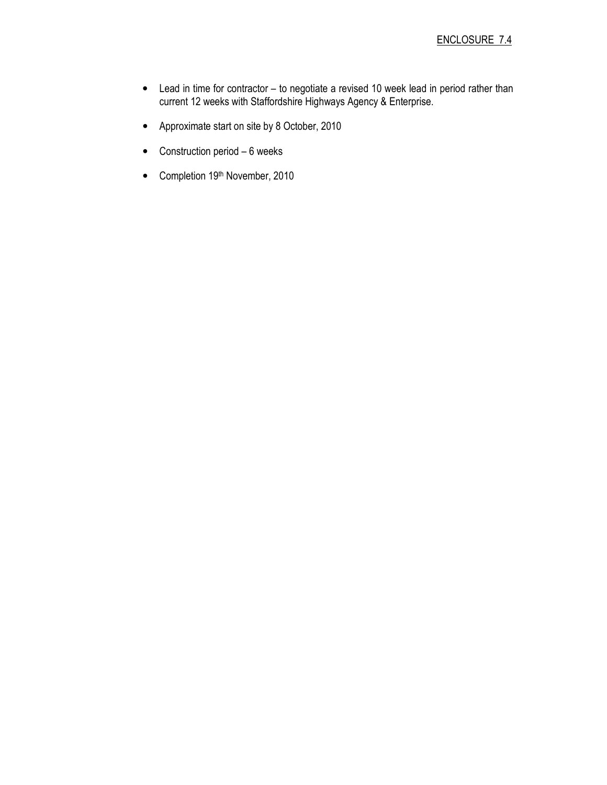- Lead in time for contractor to negotiate a revised 10 week lead in period rather than current 12 weeks with Staffordshire Highways Agency & Enterprise.
- Approximate start on site by 8 October, 2010
- Construction period 6 weeks
- Completion 19th November, 2010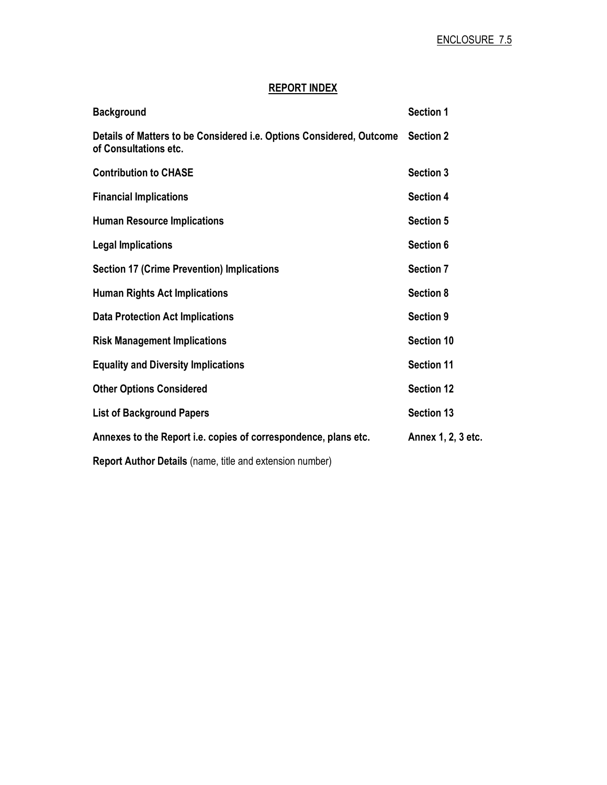# REPORT INDEX

| <b>Background</b>                                                                             | <b>Section 1</b>   |
|-----------------------------------------------------------------------------------------------|--------------------|
| Details of Matters to be Considered i.e. Options Considered, Outcome<br>of Consultations etc. | <b>Section 2</b>   |
| <b>Contribution to CHASE</b>                                                                  | <b>Section 3</b>   |
| <b>Financial Implications</b>                                                                 | Section 4          |
| <b>Human Resource Implications</b>                                                            | <b>Section 5</b>   |
| <b>Legal Implications</b>                                                                     | Section 6          |
| <b>Section 17 (Crime Prevention) Implications</b>                                             | <b>Section 7</b>   |
| <b>Human Rights Act Implications</b>                                                          | <b>Section 8</b>   |
| <b>Data Protection Act Implications</b>                                                       | Section 9          |
| <b>Risk Management Implications</b>                                                           | <b>Section 10</b>  |
| <b>Equality and Diversity Implications</b>                                                    | <b>Section 11</b>  |
| <b>Other Options Considered</b>                                                               | <b>Section 12</b>  |
| <b>List of Background Papers</b>                                                              | <b>Section 13</b>  |
| Annexes to the Report i.e. copies of correspondence, plans etc.                               | Annex 1, 2, 3 etc. |
| Report Author Details (name, title and extension number)                                      |                    |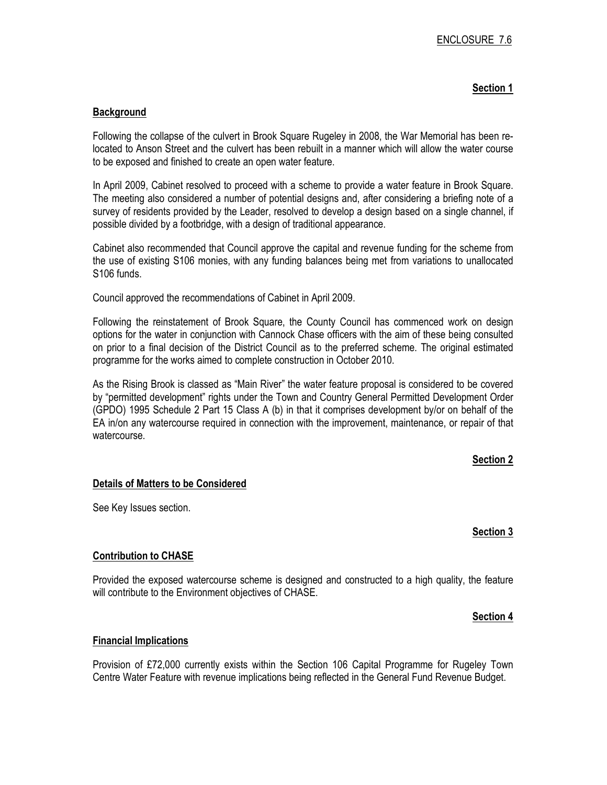### Section 1

#### **Background**

Following the collapse of the culvert in Brook Square Rugeley in 2008, the War Memorial has been relocated to Anson Street and the culvert has been rebuilt in a manner which will allow the water course to be exposed and finished to create an open water feature.

In April 2009, Cabinet resolved to proceed with a scheme to provide a water feature in Brook Square. The meeting also considered a number of potential designs and, after considering a briefing note of a survey of residents provided by the Leader, resolved to develop a design based on a single channel, if possible divided by a footbridge, with a design of traditional appearance.

Cabinet also recommended that Council approve the capital and revenue funding for the scheme from the use of existing S106 monies, with any funding balances being met from variations to unallocated S106 funds.

Council approved the recommendations of Cabinet in April 2009.

Following the reinstatement of Brook Square, the County Council has commenced work on design options for the water in conjunction with Cannock Chase officers with the aim of these being consulted on prior to a final decision of the District Council as to the preferred scheme. The original estimated programme for the works aimed to complete construction in October 2010.

As the Rising Brook is classed as "Main River" the water feature proposal is considered to be covered by "permitted development" rights under the Town and Country General Permitted Development Order (GPDO) 1995 Schedule 2 Part 15 Class A (b) in that it comprises development by/or on behalf of the EA in/on any watercourse required in connection with the improvement, maintenance, or repair of that watercourse.

#### Section 2

#### Details of Matters to be Considered

See Key Issues section.

#### Section 3

#### Contribution to CHASE

Provided the exposed watercourse scheme is designed and constructed to a high quality, the feature will contribute to the Environment objectives of CHASE.

#### Section 4

#### Financial Implications

Provision of £72,000 currently exists within the Section 106 Capital Programme for Rugeley Town Centre Water Feature with revenue implications being reflected in the General Fund Revenue Budget.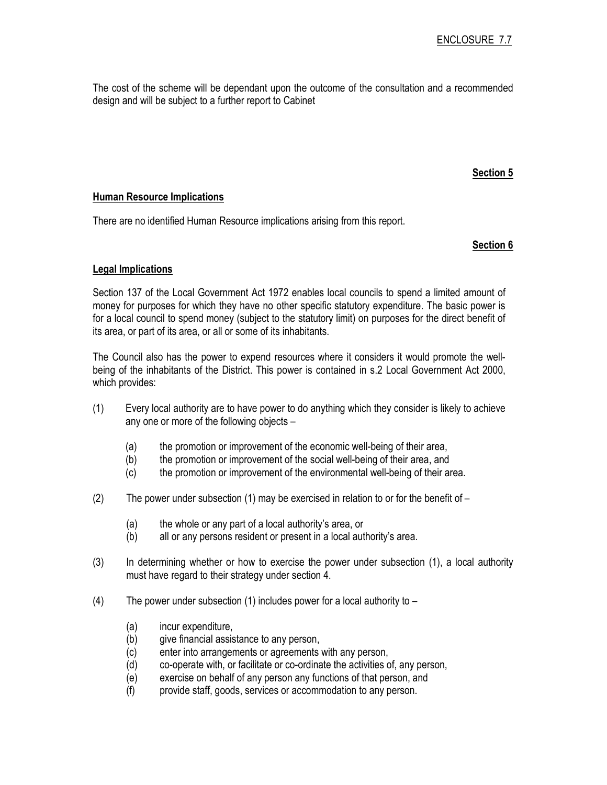The cost of the scheme will be dependant upon the outcome of the consultation and a recommended design and will be subject to a further report to Cabinet

### Section 5

#### Human Resource Implications

There are no identified Human Resource implications arising from this report.

### Section 6

### Legal Implications

Section 137 of the Local Government Act 1972 enables local councils to spend a limited amount of money for purposes for which they have no other specific statutory expenditure. The basic power is for a local council to spend money (subject to the statutory limit) on purposes for the direct benefit of its area, or part of its area, or all or some of its inhabitants.

The Council also has the power to expend resources where it considers it would promote the wellbeing of the inhabitants of the District. This power is contained in s.2 Local Government Act 2000, which provides:

- (1) Every local authority are to have power to do anything which they consider is likely to achieve any one or more of the following objects –
	- (a) the promotion or improvement of the economic well-being of their area,
	- (b) the promotion or improvement of the social well-being of their area, and
	- (c) the promotion or improvement of the environmental well-being of their area.
- (2) The power under subsection (1) may be exercised in relation to or for the benefit of  $-$ 
	- (a) the whole or any part of a local authority's area, or
	- (b) all or any persons resident or present in a local authority's area.
- (3) In determining whether or how to exercise the power under subsection (1), a local authority must have regard to their strategy under section 4.
- (4) The power under subsection (1) includes power for a local authority to  $-$ 
	- (a) incur expenditure,
	- (b) give financial assistance to any person,
	- (c) enter into arrangements or agreements with any person,
	- (d) co-operate with, or facilitate or co-ordinate the activities of, any person,
	- (e) exercise on behalf of any person any functions of that person, and
	- (f) provide staff, goods, services or accommodation to any person.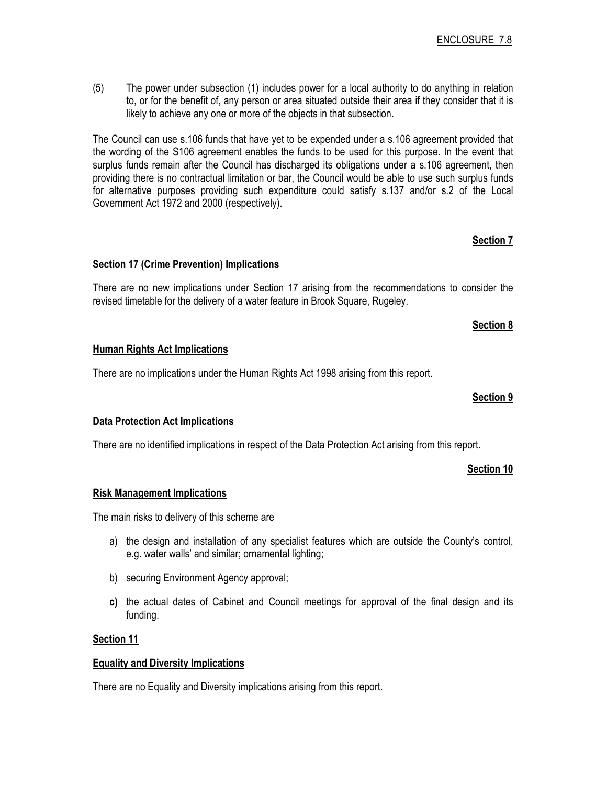(5) The power under subsection (1) includes power for a local authority to do anything in relation to, or for the benefit of, any person or area situated outside their area if they consider that it is likely to achieve any one or more of the objects in that subsection.

The Council can use s.106 funds that have yet to be expended under a s.106 agreement provided that the wording of the S106 agreement enables the funds to be used for this purpose. In the event that surplus funds remain after the Council has discharged its obligations under a s.106 agreement, then providing there is no contractual limitation or bar, the Council would be able to use such surplus funds for alternative purposes providing such expenditure could satisfy s.137 and/or s.2 of the Local Government Act 1972 and 2000 (respectively).

# Section 17 (Crime Prevention) Implications

There are no new implications under Section 17 arising from the recommendations to consider the revised timetable for the delivery of a water feature in Brook Square, Rugeley.

# Human Rights Act Implications

There are no implications under the Human Rights Act 1998 arising from this report.

#### Section 9

Section 8

Section 7

# Data Protection Act Implications

There are no identified implications in respect of the Data Protection Act arising from this report.

# Section 10

# Risk Management Implications

The main risks to delivery of this scheme are

- a) the design and installation of any specialist features which are outside the County's control, e.g. water walls' and similar; ornamental lighting;
- b) securing Environment Agency approval;
- c) the actual dates of Cabinet and Council meetings for approval of the final design and its funding.

# Section 11

# Equality and Diversity Implications

There are no Equality and Diversity implications arising from this report.